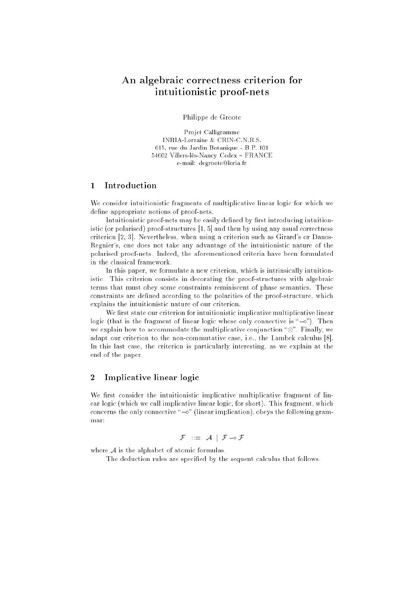# An algebraic correctness criterion for intuitionistic proof-nets

Philippe de Groote

Projet Calligramme INRIA-Lorraine & CRIN-C.N.R.S. 615, rue du Jardin Botanique - B.P. 101 54602 Villers-lès-Nancy Cedex FRANCE e-mail: degroote@loria.fr

#### $\mathbf{1}$ Introduction

We consider intuitionistic fragments of multiplicative linear logic for which we define appropriate notions of proof-nets.

Intuitionistic proof-nets may be easily defined by first introducing intuitionistic (or polarised) proof-structures [1, 5] and then by using any usual correctness criterion [2, 3]. Nevertheless, when using a criterion such as Girard's or Danos-Regnier's, one does not take any advantage of the intuitionistic nature of the polarised proof-nets. Indeed, the aforementioned criteria have been formulated in the classical framework.

In this paper, we formulate a new criterion, which is intrinsically intuitionistic. This criterion consists in decorating the proof-structures with algebraic terms that must obey some constraints reminiscent of phase semantics. These constraints are defined according to the polarities of the proof-structure, which explains the intuitionistic nature of our criterion.

We first state our criterion for intuitionistic implicative multiplicative linear logic (that is the fragment of linear logic whose only connective is " $\sim$ "). Then we explain how to accommodate the multiplicative conjunction and multiplicative conjunction  $\mathcal{M}$  . Finally, we explain the multiplicative conjunction and multiplicative conjunction  $\mathcal{M}$ adapt our criterion to the non-commutative case, i.e., the Lambek calculus [8]. In this last case, the criterion is particularly interesting, as we explain at the end of the paper.

### 2 Implicative linear logic

We first consider the intuitionistic implicative multiplicative fragment of linear logic (which we call implicative linear logic, for short). This fragment, which concerns the only connective " $\sim$ " (linear implication), obeys the following grammar:

$$
\mathcal{F} \quad ::= \quad \mathcal{A} \quad | \quad \mathcal{F} \rightarrow \mathcal{F}
$$

where  $A$  is the alphabet of atomic formulas.

The deduction rules are specified by the sequent calculus that follows.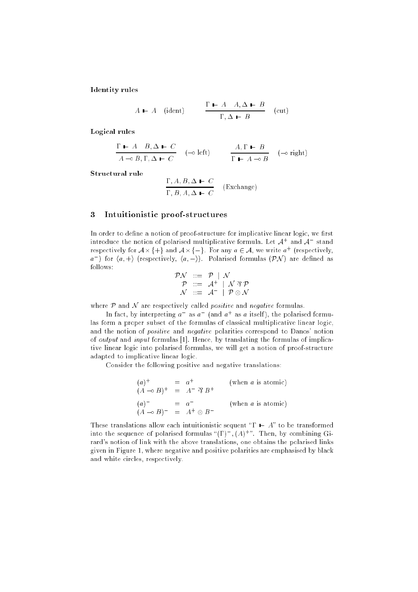**Identity** rules

$$
A \t A \t (ident) \t \t \frac{\Gamma - A \t A, \Delta - B}{\Gamma, \Delta - B} \t (cut)
$$

Logical rules

$$
\frac{\Gamma \vdash A \quad B, \Delta \vdash C}{A \multimap B, \Gamma, \Delta \vdash C} \quad (\multimap \text{ left}) \qquad \frac{A, \Gamma \vdash B}{\Gamma \vdash A \multimap B} \quad (\multimap \text{ right})
$$

$$
\frac{\Gamma, A, B, \Delta \vdash C}{\Gamma, B, A, \Delta \vdash C}
$$
 (Exchange)

#### Intuitionistic proof-structures 3

In order to define a notion of proof-structure for implicative linear logic, we first introduce the notion of polarised multiplicative formula. Let <sup>A</sup><sup>+</sup> and <sup>A</sup> stand respectively for  $A\times$ {+} and  $A\times$ {-}. For any  $a\in\mathcal{A},$  we write  $a^+$  (respectively,  $a$  ) for  $\langle a, + \rangle$  (respectively,  $\langle a, - \rangle$ ). Polarised formulas (PN ) are defined as follows:

$$
\begin{array}{ccl}\mathcal{P}\mathcal{N} & ::= & \mathcal{P} & | & \mathcal{N} \\
\mathcal{P} & ::= & \mathcal{A}^+ & | & \mathcal{N} \mathcal{R}\mathcal{P} \\
\mathcal{N} & ::= & \mathcal{A}^- & | & \mathcal{P} \otimes \mathcal{N}\n\end{array}
$$

where  $P$  and  $N$  are respectively called *positive* and *negative* formulas.

In fact, by interpreting  $a\quad$  as  $a\quad$  (and  $a\quad$  as  $a\,$  itself), the polarised formulas form a proper subset of the formulas of classical multiplicative linear logic, and the notion of *positive* and *negative* polarities correspond to Danos' notion of output and input formulas [1]. Hence, by translating the formulas of implicative linear logic into polarised formulas, we will get a notion of proof-structure adapted to implicative linear logic.

Consider the following positive and negative translations:

$$
(a)^{+} = a^{+}
$$
 (when *a* is atomic)  
\n
$$
(A \rightarrow B)^{+} = A^{-} \mathfrak{B} B^{+}
$$
  
\n
$$
(a)^{-} = a^{-}
$$
 (when *a* is atomic)  
\n
$$
(A \rightarrow B)^{-} = A^{+} \otimes B^{-}
$$

These translations allow each intuitionistic sequent " $\Gamma$   $\vdash$  A" to be transformed into the sequence of polarised formulas " $(\Gamma)^-$ ,  $(A)^+$ ". Then, by combining Girard's notion of link with the above translations, one obtains the polarised links given in Figure 1, where negative and positive polarities are emphasised by black and white circles, respectively.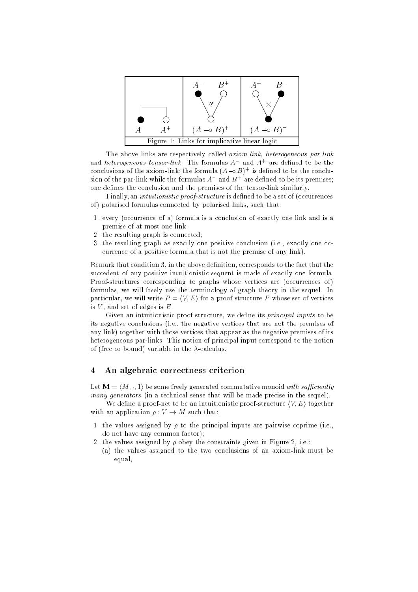

The above links are respectively called axiom-link, heterogeneous par-link and *heterogeneous tensor-link*. The formulas  $A^-$  and  $A^+$  are defined to be the conclusions of the axiom-link; the formula  $(A\rightarrow B)^+$  is defined to be the conclusion of the par-link while the formulas  $A^-$  and  $B^+$  are defined to be its premises; one defines the conclusion and the premises of the tensor-link similarly.

Finally, an *intuitionistic proof-structure* is defined to be a set of (occurrences of) polarised formulas connected by polarised links, such that:

- 1. every (occurrence of a) formula is a conclusion of exactly one link and is a premise of at most one link;
- 2. the resulting graph is connected;
- 3. the resulting graph as exactly one positive conclusion (i.e., exactly one occurrence of a positive formula that is not the premise of any link).

Remark that condition 3, in the above definition, corresponds to the fact that the succedent of any positive intuitionistic sequent is made of exactly one formula. Proof-structures corresponding to graphs whose vertices are (occurrences of) formulas, we will freely use the terminology of graph theory in the sequel. In particular, we will write  $P = \langle V, E \rangle$  for a proof-structure P whose set of vertices is  $V$ , and set of edges is  $E$ .

Given an intuitionistic proof-structure, we define its *principal inputs* to be its negative conclusions (i.e., the negative vertices that are not the premises of any link) together with those vertices that appear as the negative premises of its heterogeneous par-links. This notion of principal input correspond to the notion of (free or bound) variable in the  $\lambda$ -calculus.

### 4 An algebraic correctness criterion

Let  $\mathbf{M} = \langle M, \cdot, 1 \rangle$  be some freely generated commutative monoid with sufficiently many generators (in a technical sense that will be made precise in the sequel).

We define a proof-net to be an intuitionistic proof-structure  $\langle V, E \rangle$  together with an application  $\rho: V \to M$  such that:

- 1. the values assigned by  $\rho$  to the principal inputs are pairwise coprime (i.e., do not have any common factor);
- 2. the values assigned by  $\rho$  obey the constraints given in Figure 2, i.e.:
- (a) the values assigned to the two conclusions of an axiom-link must be equal,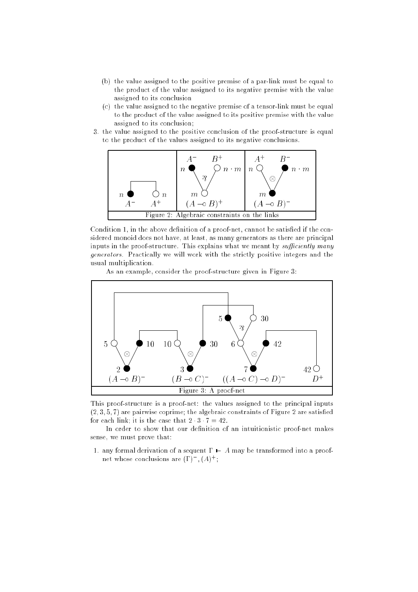- (b) the value assigned to the positive premise of a par-link must be equal to the product of the value assigned to its negative premise with the value assigned to its conclusion
- (c) the value assigned to the negative premise of a tensor-link must be equal to the product of the value assigned to its positive premise with the value assigned to its conclusion;
- 3. the value assigned to the positive conclusion of the proof-structure is equal to the product of the values assigned to its negative conclusions.



Condition 1, in the above definition of a proof-net, cannot be satisfied if the considered monoid does not have, at least, as many generators as there are principal inputs in the proof-structure. This explains what we meant by sufficiently many generators. Practically we will work with the strictly positive integers and the usual multiplication.

As an example, consider the proof-structure given in Figure 3:



This proof-structure is a proof-net: the values assigned to the principal inputs  $(2, 3, 5, 7)$  are pairwise coprime; the algebraic constraints of Figure 2 are satisfied for each link; it is the case that  $2 \cdot 3 \cdot 7 = 42$ .

In order to show that our definition of an intuitionistic proof-net makes sense, we must prove that:

1. any formal derivation of a sequent  $\Gamma \vdash A$  may be transformed into a proofnet whose conclusions are  $(\Gamma)^{-}$ ,  $(A)^{+}$ ;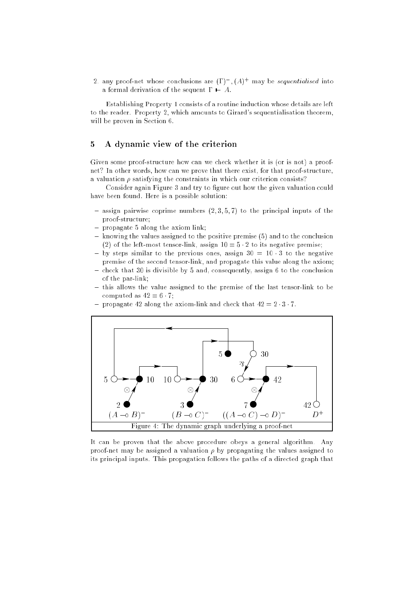2. any proof-net whose conclusions are  $(\Gamma)^-$ ,  $(A)^+$  may be *sequentialised* into a formal derivation of the sequent  $\Gamma - A$ .

Establishing Property 1 consists of a routine induction whose details are left to the reader. Property 2, which amounts to Girard's sequentialisation theorem, will be proven in Section 6.

#### 5 A dynamic view of the criterion  $\overline{5}$

Given some proof-structure how can we check whether it is (or is not) a proofnet? In other words, how can we prove that there exist, for that proof-structure, a valuation  $\rho$  satisfying the constraints in which our criterion consists?

Consider again Figure 3 and try to figure out how the given valuation could have been found. Here is a possible solution:

- assign pairwise coprime numbers (2; 3; 5; 7) to the principal inputs of the proof-structure;
- propagate y along the anisotronic link;
- knowing the values assigned to the positive premise (5) and to the conclusion (2) of the left-most tensor-link, assign  $10 = 5 \cdot 2$  to its negative premise;
- by steps similar to the previous ones, assign <sup>30</sup> <sup>=</sup> <sup>10</sup> <sup>3</sup> to the negative premise of the second tensor-link, and propagate this value along the axiom;
- check that 30 is divisible by 5 and, consequently, assign 6 to the conclusion of the par-link;
- this allows the value assigned to the premise of the last tensor-link to be computed as  $42 = 6 \cdot 7$ ;





It can be proven that the above procedure obeys a general algorithm. Any proof-net may be assigned a valuation  $\rho$  by propagating the values assigned to its principal inputs. This propagation follows the paths of a directed graph that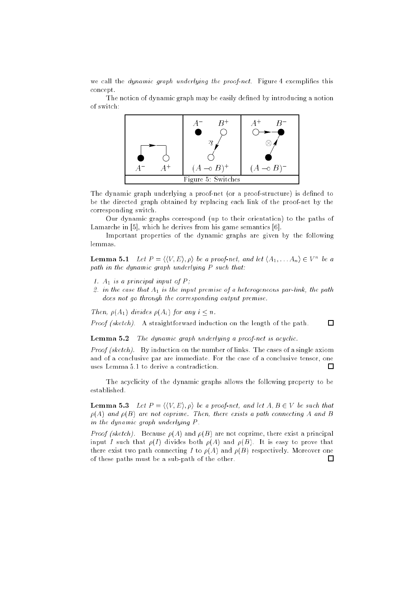we call the *dynamic graph underlying the proof-net*. Figure 4 exemplifies this concept.

The notion of dynamic graph may be easily defined by introducing a notion of switch:



The dynamic graph underlying a proof-net (or a proof-structure) is defined to be the directed graph obtained by replacing each link of the proof-net by the corresponding switch.

Our dynamic graphs correspond (up to their orientation) to the paths of Lamarche in [5], which he derives from his game semantics [6].

Important properties of the dynamic graphs are given by the following lemmas.

**Lemma 5.1** Let  $P = \langle \langle V, E \rangle, \rho \rangle$  be a proof-net, and let  $\langle A_1, \ldots A_n \rangle \in V^n$  be a path in the dynamic graph underlying P such that:

- 1.  $A_1$  is a principal input of P;
- 2. in the case that  $A_1$  is the input premise of a heterogeneous par-link, the path does not go through the corresponding output premise.

 $\Box$ 

Then,  $\rho(A_1)$  divides  $\rho(A_i)$  for any  $i < n$ .

Proof (sketch). A straightforward induction on the length of the path.

Lemma 5.2 The dynamic graph underlying a proof-net is acyclic.

Proof (sketch). By induction on the number of links. The cases of a single axiom and of a conclusive par are immediate. For the case of a conclusive tensor, one uses Lemma 5.1 to derive a contradiction.  $\Box$ 

The acyclicity of the dynamic graphs allows the following property to be established.

**Lemma 5.3** Let  $P = \langle V, E \rangle$ ,  $\rho \rangle$  be a proof-net, and let  $A, B \in V$  be such that  $\rho(A)$  and  $\rho(B)$  are not coprime. Then, there exists a path connecting A and B in the dynamic graph underlying P .

*Proof (sketch).* Because  $\rho(A)$  and  $\rho(B)$  are not coprime, there exist a principal input I such that  $\rho(I)$  divides both  $\rho(A)$  and  $\rho(B)$ . It is easy to prove that there exist two path connecting I to  $\rho(A)$  and  $\rho(B)$  respectively. Moreover one of these paths must be a sub-path of the other.П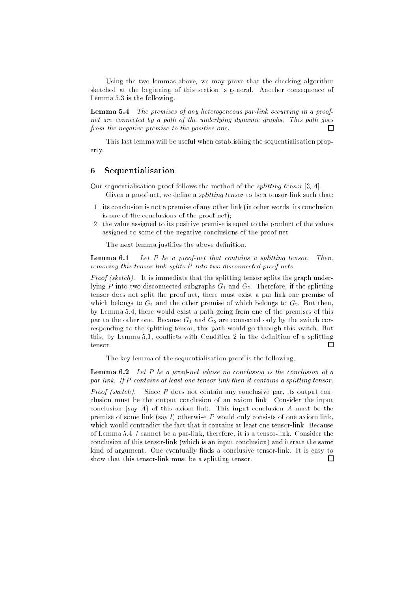Using the two lemmas above, we may prove that the checking algorithm sketched at the beginning of this section is general. Another consequence of Lemma 5.3 is the following.

Lemma 5.4 The premises of any heterogeneous par-link occurring in a proofnet are connected by a path of the underlying dynamic graphs. This path goes from the negative premise to the positive one.  $\Box$ 

This last lemma will be useful when establishing the sequentialisation property.

## 6 Sequentialisation

- Our sequentialisation proof follows the method of the splitting tensor [3, 4]. Given a proof-net, we define a *splitting tensor* to be a tensor-link such that:
- 1. its conclusion is not a premise of any other link (in other words, its conclusion is one of the conclusions of the proof-net);
- 2. the value assigned to its positive premise is equal to the product of the values assigned to some of the negative conclusions of the proof-net

The next lemma justifies the above definition.

Lemma 6.1Let  $P$  be a proof-net that contains a splitting tensor. Then, removing this tensor-link splits P into two disconnected proof-nets.

*Proof (sketch).* It is immediate that the splitting tensor splits the graph underlying P into two disconnected subgraphs  $G_1$  and  $G_2$ . Therefore, if the splitting tensor does not split the proof-net, there must exist a par-link one premise of which belongs to  $G_1$  and the other premise of which belongs to  $G_2$ . But then, by Lemma 5.4, there would exist a path going from one of the premises of this par to the other one. Because  $G_1$  and  $G_2$  are connected only by the switch corresponding to the splitting tensor, this path would go through this switch. But this, by Lemma 5.1, conflicts with Condition 2 in the definition of a splitting tensor.  $\Box$ 

The key lemma of the sequentialisation proof is the following.

**Lemma 6.2** Let P be a proof-net whose no conclusion is the conclusion of a par-link. If P contains at least one tensor-link then it contains a splitting tensor.

*Proof (sketch).* Since P does not contain any conclusive par, its output conclusion must be the output conclusion of an axiom link. Consider the input conclusion (say A) of this axiom link. This input conclusion A must be the premise of some link (say l) otherwise P would only consists of one axiom link, which would contradict the fact that it contains at least one tensor-link. Because of Lemma 5.4, l cannot be a par-link, therefore, it is a tensor-link. Consider the conclusion of this tensor-link (which is an input conclusion) and iterate the same kind of argument. One eventually finds a conclusive tensor-link. It is easy to show that this tensor-link must be a splitting tensor. $\Box$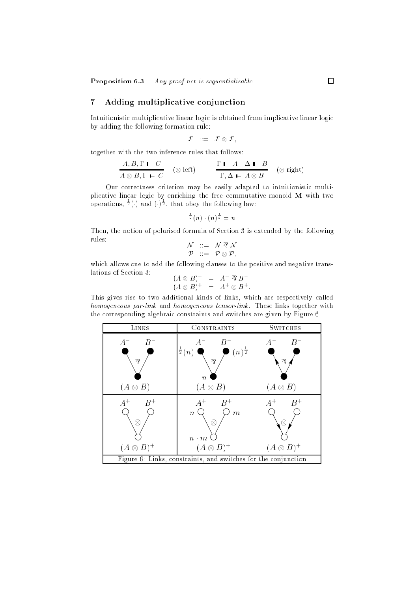## 7 Adding multiplicative conjunction

Intuitionistic multiplicative linear logic is obtained from implicative linear logic by adding the following formation rule:

$$
\mathcal{F} \quad := \quad \mathcal{F} \otimes \mathcal{F},
$$

together with the two inference rules that follows:

$$
\frac{A, B, \Gamma \vdash C}{A \otimes B, \Gamma \vdash C} \quad (\otimes \text{ left}) \qquad \frac{\Gamma \vdash A \quad \Delta \vdash B}{\Gamma, \Delta \vdash A \otimes B} \quad (\otimes \text{ right})
$$

Our correctness criterion may be easily adapted to intuitionistic multiplicative linear logic by enriching the free commutative monoid <sup>M</sup> with two operations,  $\frac{1}{2}(\cdot)$  and  $(\cdot)$   $\frac{1}{2}$ , that obey the following law:

$$
\frac{1}{2}(n)\cdot(n)^{\frac{1}{2}}=n
$$

Then, the notion of polarised formula of Section 3 is extended by the following  $\mathcal{L} = \mathcal{M} \otimes \mathcal{M}$ 

$$
\begin{array}{rcl}\nN & ::= & N \; \mathcal{N} \; N \\
\mathcal{P} & ::= & \mathcal{P} \otimes \mathcal{P},\n\end{array}
$$

which allows one to add the following clauses to the positive and negative translations of Section 3:

$$
(A \otimes B)^{-} = A^{-} \mathfrak{B} B^{-}
$$
  

$$
(A \otimes B)^{+} = A^{+} \otimes B^{+}.
$$

This gives rise to two additional kinds of links, which are respectively called homogeneous par-link and homogeneous tensor-link. These links together with the corresponding algebraic constraints and switches are given by Figure 6.

| LINKS                                                          | CONSTRAINTS                                                                                                                 | <b>SWITCHES</b>                                 |  |
|----------------------------------------------------------------|-----------------------------------------------------------------------------------------------------------------------------|-------------------------------------------------|--|
| $B^-$<br>$A^-$<br>$\gamma$<br>$(A \otimes B)^-$                | $B^-$<br>$A^-$<br>$(n)^{\frac{1}{2}}$<br>$\mathsf{I}^{\frac{1}{2}}(n)$<br>$\gamma$<br>$\boldsymbol{n}$<br>$(A \otimes B)^-$ | $B^-$<br>$A^-$<br>$\gamma$<br>$(A \otimes B)^-$ |  |
| $A^+$<br>$B^+$<br>R<br>$(A \otimes B)^+$                       | $A^+$<br>$B^+$<br>$\overline{m}$<br>$\, n$<br>K<br>$n \cdot m$<br>$(A \otimes B)^+$                                         | $A^+$<br>$B^+$<br>$(A \otimes B)^+$             |  |
| Figure 6: Links, constraints, and switches for the conjunction |                                                                                                                             |                                                 |  |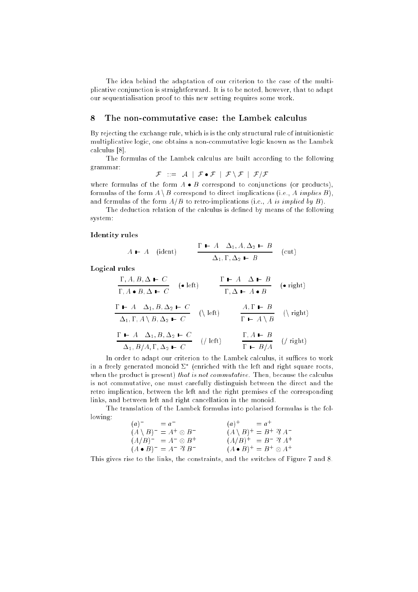The idea behind the adaptation of our criterion to the case of the multiplicative conjunction is straightforward. It is to be noted, however, that to adapt our sequentialisation proof to this new setting requires some work.

#### 8 The non-commutative case: the Lambek calculus

By rejecting the exchange rule, which is is the only structural rule of intuitionistic multiplicative logic, one obtains a non-commutative logic known as the Lambek calculus [8].

The formulas of the Lambek calculus are built according to the following grammar:

 $\mathcal{F}$  ::=  $\mathcal{A}$  |  $\mathcal{F} \bullet \mathcal{F}$  |  $\mathcal{F} \setminus \mathcal{F}$  |  $\mathcal{F}/\mathcal{F}$ 

where formulas of the form  $A \bullet B$  correspond to conjunctions (or products), formulas of the form  $A \setminus B$  correspond to direct implications (i.e., A *implies B*), and formulas of the form  $A/B$  to retro-implications (i.e., A is implied by B).

The deduction relation of the calculus is defined by means of the following system:

#### **Identity** rules

$$
A \perp A \quad \text{(ident)} \qquad \frac{\Gamma \perp A \quad \Delta_1, A, \Delta_2 \perp B}{\Delta_1, \Gamma, \Delta_2 \perp B} \quad \text{(cut)}
$$

Logical rules

$$
\frac{\Gamma + A \cdot B, \Delta \vdash C}{\Gamma, A \bullet B, \Delta \vdash C} \quad (\bullet \text{ left}) \qquad \frac{\Gamma \vdash A \quad \Delta \vdash B}{\Gamma, \Delta \vdash A \bullet B} \quad (\bullet \text{ right})
$$
\n
$$
\frac{\Gamma \vdash A \quad \Delta_1, B, \Delta_2 \vdash C}{\Delta_1, \Gamma, A \setminus B, \Delta_2 \vdash C} \quad (\setminus \text{ left}) \qquad \frac{A, \Gamma \vdash B}{\Gamma \vdash A \setminus B} \quad (\setminus \text{ right})
$$
\n
$$
\Gamma \vdash A \quad \Delta_1, B, \Delta_2 \vdash C \qquad (\setminus \text{ left}) \qquad \Gamma, A \vdash B \qquad (\setminus \text{ right})
$$

 $//$  left)  $\Delta_1$ ,  $B/A$ ,  $\Gamma, \Delta_2 \vdash C$  $\Gamma$  +  $B/A$  (/ right) In order to adapt our criterion to the Lambek calculus, it suffices to work

in a freely generated monoid (enriched with the left and right square roots, when the product is present) *that is not commutative*. Then, because the calculus is not commutative, one must carefully distinguish between the direct and the retro implication, between the left and the right premises of the corresponding links, and between left and right cancellation in the monoid.

The translation of the Lambek formulas into polarised formulas is the following:  $\sim$   $\sim$   $\sim$ 

| $(a)^{-} = a^{-}$                             | $(a)^+ = a^+$                                   |
|-----------------------------------------------|-------------------------------------------------|
| $(A \setminus B)^- = A^+ \otimes B^-$         | $(A \setminus B)^{+} = B^{+} \mathcal{R} A^{-}$ |
| $(A/B)^{-} = A^{-} \otimes B^{+}$             | $(A/B)^{+} = B^{-} \mathcal{R} A^{+}$           |
| $(A \bullet B)^{-} = A^{-} \mathcal{B} B^{-}$ | $(A \bullet B)^{+} = B^{+} \otimes A^{+}$       |

This gives rise to the links, the constraints, and the switches of Figure 7 and 8.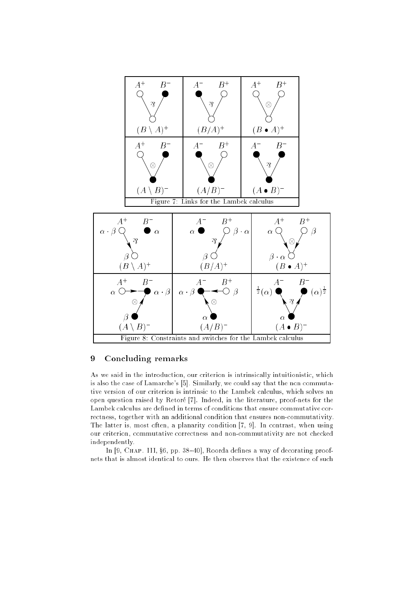

#### 9 Concluding remarks

As we said in the introduction, our criterion is intrinsically intuitionistic, which is also the case of Lamarche's [5]. Similarly, we could say that the non commutative version of our criterion is intrinsic to the Lambek calculus, which solves an open question raised by Retoré [7]. Indeed, in the literature, proof-nets for the Lambek calculus are defined in terms of conditions that ensure commutative correctness, together with an additional condition that ensures non-commutativity. The latter is, most often, a planarity condition [7, 9]. In contrast, when using our criterion, commutative correctness and non-commutativity are not checked independently.

In  $[9,$  CHAP. III,  $\S6$ , pp. 38-40], Roorda defines a way of decorating proofnets that is almost identical to ours. He then observes that the existence of such